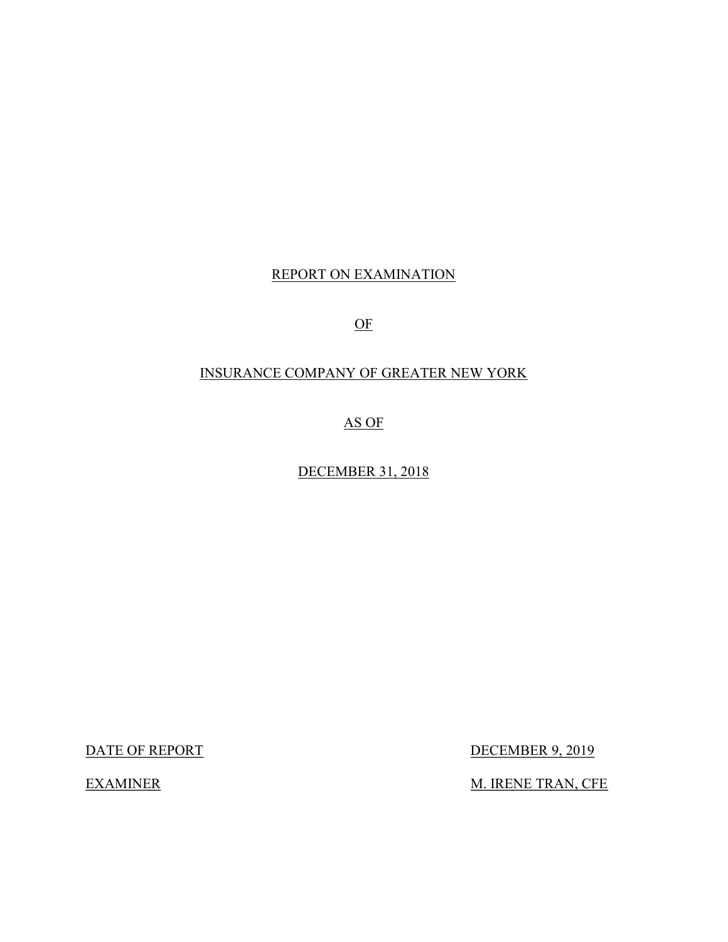## REPORT ON EXAMINATION

OF

### INSURANCE COMPANY OF GREATER NEW YORK

AS OF

DECEMBER 31, 2018

DATE OF REPORT DECEMBER 9, 2019

EXAMINER M. IRENE TRAN, CFE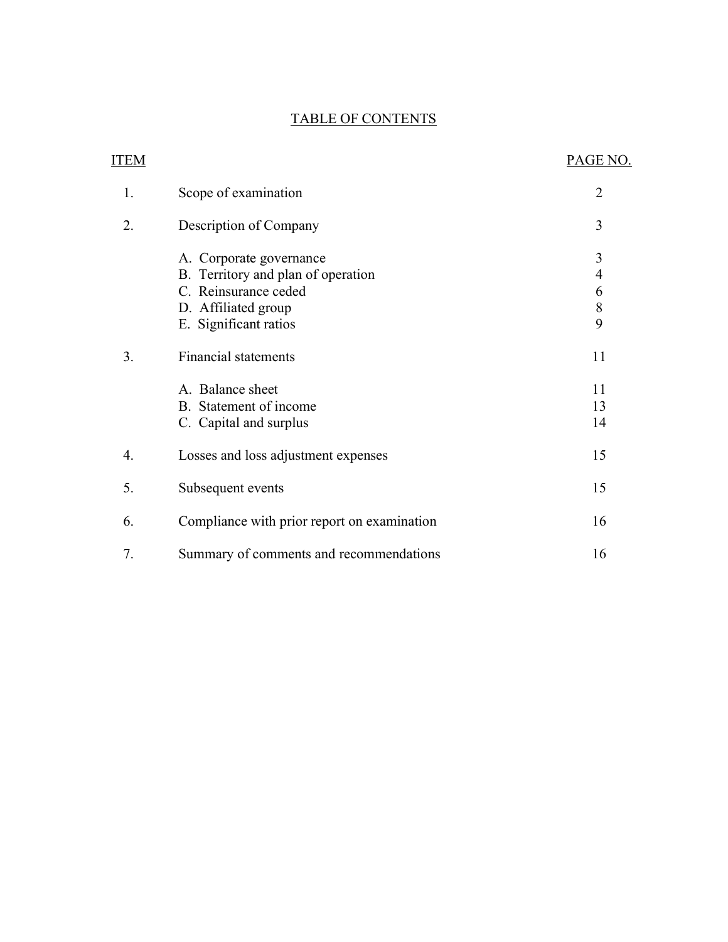## TABLE OF CONTENTS

| <b>ITEM</b> |                                                                                                                                                                                                                                              | PAGE NO.                                                                |
|-------------|----------------------------------------------------------------------------------------------------------------------------------------------------------------------------------------------------------------------------------------------|-------------------------------------------------------------------------|
| 1.          | Scope of examination                                                                                                                                                                                                                         | $\overline{2}$                                                          |
| 2.          | Description of Company                                                                                                                                                                                                                       | 3                                                                       |
| 3.          | A. Corporate governance<br>B. Territory and plan of operation<br>C. Reinsurance ceded<br>D. Affiliated group<br>E. Significant ratios<br><b>Financial statements</b><br>A. Balance sheet<br>B. Statement of income<br>C. Capital and surplus | $\mathfrak{Z}$<br>$\overline{4}$<br>6<br>8<br>9<br>11<br>11<br>13<br>14 |
| 4.          | Losses and loss adjustment expenses                                                                                                                                                                                                          | 15                                                                      |
| 5.          | Subsequent events                                                                                                                                                                                                                            | 15                                                                      |
| 6.          | Compliance with prior report on examination                                                                                                                                                                                                  | 16                                                                      |
| 7.          | Summary of comments and recommendations                                                                                                                                                                                                      | 16                                                                      |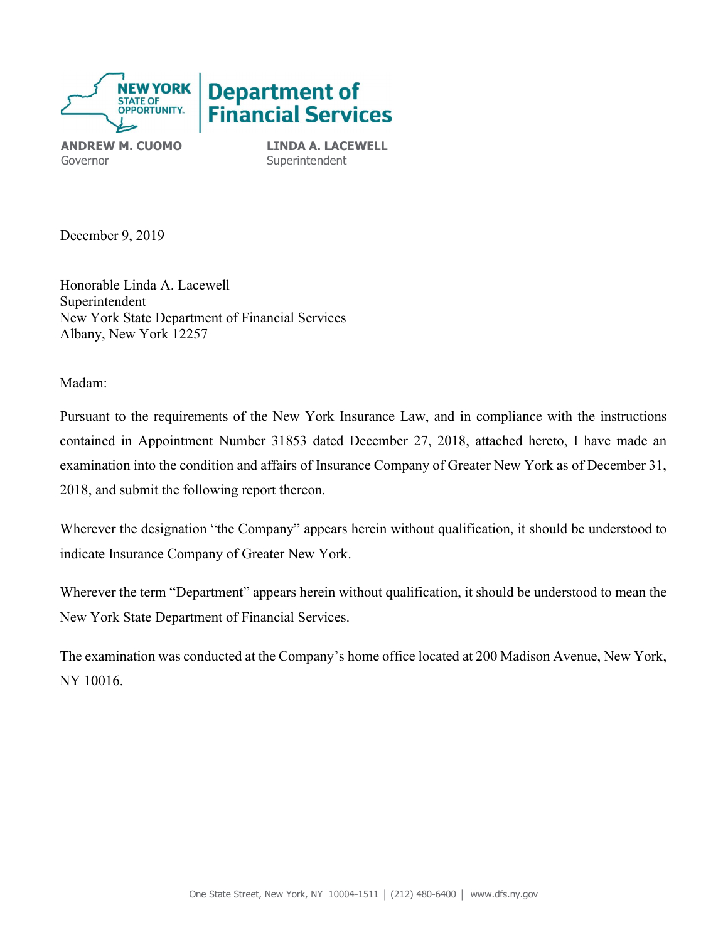

ANDREW M. CUOMO Governor

LINDA A. LACEWELL **Superintendent** 

December 9, 2019

Honorable Linda A. Lacewell Superintendent New York State Department of Financial Services Albany, New York 12257

Madam:

Pursuant to the requirements of the New York Insurance Law, and in compliance with the instructions contained in Appointment Number 31853 dated December 27, 2018, attached hereto, I have made an examination into the condition and affairs of Insurance Company of Greater New York as of December 31, 2018, and submit the following report thereon.

Wherever the designation "the Company" appears herein without qualification, it should be understood to indicate Insurance Company of Greater New York.

Wherever the term "Department" appears herein without qualification, it should be understood to mean the New York State Department of Financial Services.

The examination was conducted at the Company's home office located at 200 Madison Avenue, New York, NY 10016.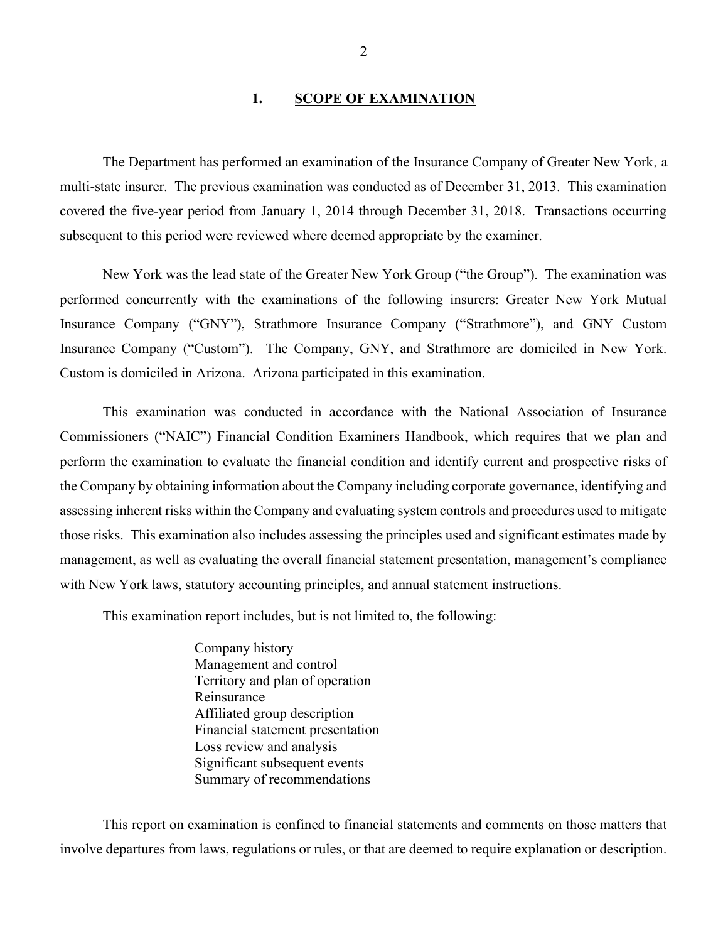### 1. SCOPE OF EXAMINATION

 The Department has performed an examination of the Insurance Company of Greater New York, a multi-state insurer. The previous examination was conducted as of December 31, 2013. This examination covered the five-year period from January 1, 2014 through December 31, 2018. Transactions occurring subsequent to this period were reviewed where deemed appropriate by the examiner.

New York was the lead state of the Greater New York Group ("the Group"). The examination was performed concurrently with the examinations of the following insurers: Greater New York Mutual Insurance Company ("GNY"), Strathmore Insurance Company ("Strathmore"), and GNY Custom Insurance Company ("Custom"). The Company, GNY, and Strathmore are domiciled in New York. Custom is domiciled in Arizona. Arizona participated in this examination.

 This examination was conducted in accordance with the National Association of Insurance Commissioners ("NAIC") Financial Condition Examiners Handbook, which requires that we plan and perform the examination to evaluate the financial condition and identify current and prospective risks of the Company by obtaining information about the Company including corporate governance, identifying and assessing inherent risks within the Company and evaluating system controls and procedures used to mitigate those risks. This examination also includes assessing the principles used and significant estimates made by management, as well as evaluating the overall financial statement presentation, management's compliance with New York laws, statutory accounting principles, and annual statement instructions.

This examination report includes, but is not limited to, the following:

Company history Management and control Territory and plan of operation Reinsurance Affiliated group description Financial statement presentation Loss review and analysis Significant subsequent events Summary of recommendations

 This report on examination is confined to financial statements and comments on those matters that involve departures from laws, regulations or rules, or that are deemed to require explanation or description.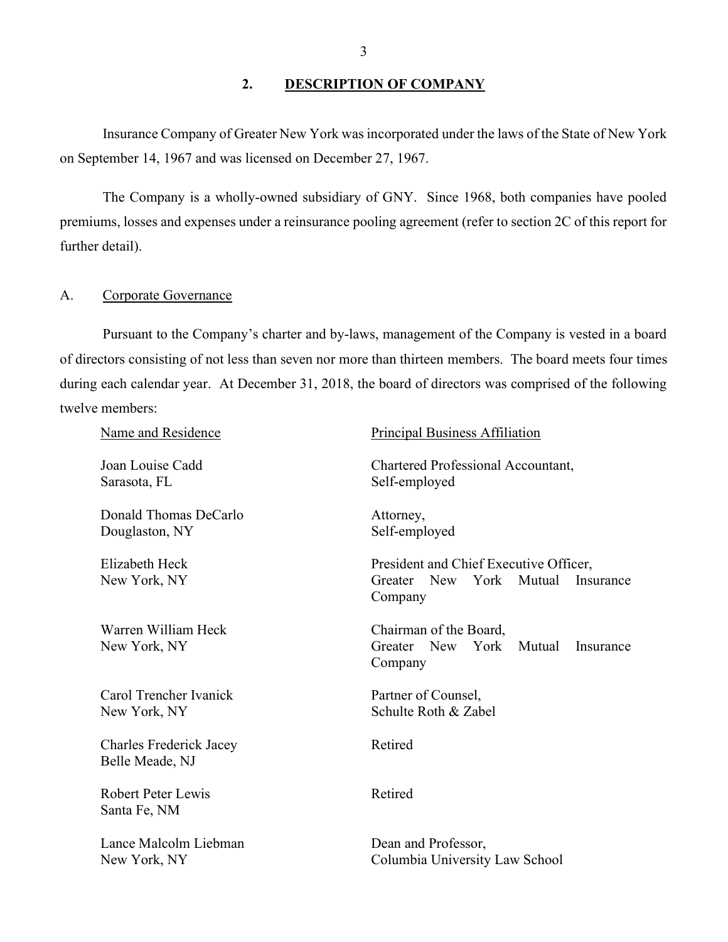### 2. DESCRIPTION OF COMPANY

Insurance Company of Greater New York was incorporated under the laws of the State of New York on September 14, 1967 and was licensed on December 27, 1967.

The Company is a wholly-owned subsidiary of GNY. Since 1968, both companies have pooled premiums, losses and expenses under a reinsurance pooling agreement (refer to section 2C of this report for further detail).

### A. Corporate Governance

 Pursuant to the Company's charter and by-laws, management of the Company is vested in a board of directors consisting of not less than seven nor more than thirteen members. The board meets four times during each calendar year. At December 31, 2018, the board of directors was comprised of the following twelve members:

| Name and Residence                                | <b>Principal Business Affiliation</b>                                                     |
|---------------------------------------------------|-------------------------------------------------------------------------------------------|
| Joan Louise Cadd<br>Sarasota, FL                  | Chartered Professional Accountant,<br>Self-employed                                       |
| Donald Thomas DeCarlo<br>Douglaston, NY           | Attorney,<br>Self-employed                                                                |
| Elizabeth Heck<br>New York, NY                    | President and Chief Executive Officer,<br>Greater New York Mutual<br>Insurance<br>Company |
| Warren William Heck<br>New York, NY               | Chairman of the Board,<br>Greater New York<br>Mutual<br>Insurance<br>Company              |
| Carol Trencher Ivanick<br>New York, NY            | Partner of Counsel,<br>Schulte Roth & Zabel                                               |
| <b>Charles Frederick Jacey</b><br>Belle Meade, NJ | Retired                                                                                   |
| <b>Robert Peter Lewis</b><br>Santa Fe, NM         | Retired                                                                                   |
| Lance Malcolm Liebman<br>New York, NY             | Dean and Professor,<br>Columbia University Law School                                     |
|                                                   |                                                                                           |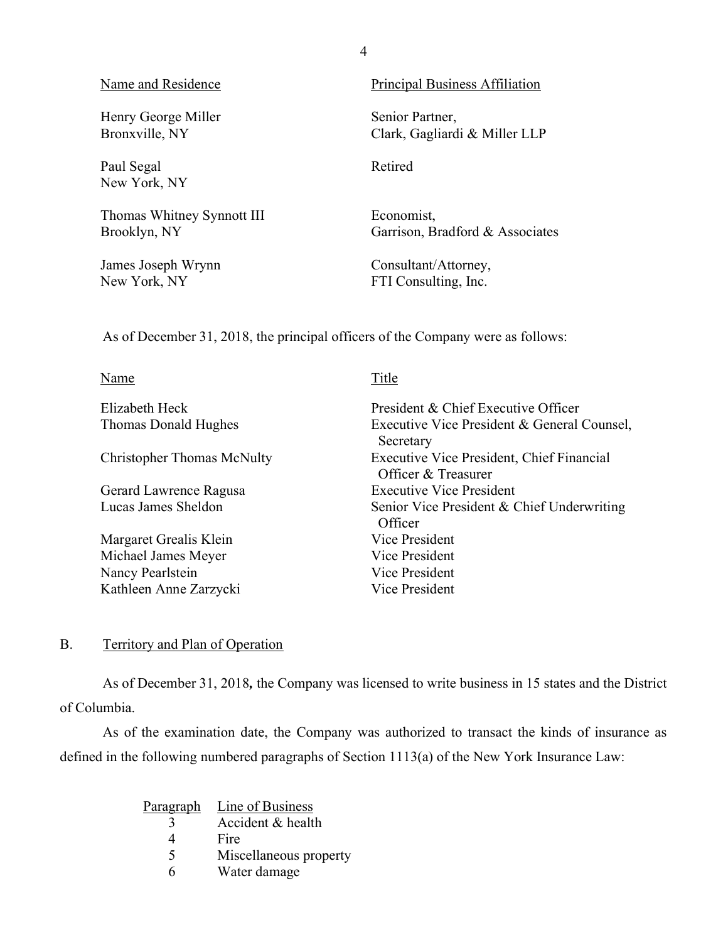| Name and Residence         | <b>Principal Business Affiliation</b> |
|----------------------------|---------------------------------------|
| Henry George Miller        | Senior Partner,                       |
| Bronxville, NY             | Clark, Gagliardi & Miller LLP         |
| Paul Segal<br>New York, NY | Retired                               |
| Thomas Whitney Synnott III | Economist,                            |
| Brooklyn, NY               | Garrison, Bradford & Associates       |
| James Joseph Wrynn         | Consultant/Attorney,                  |
| New York, NY               | FTI Consulting, Inc.                  |

As of December 31, 2018, the principal officers of the Company were as follows:

| Name                              | Title                                                            |
|-----------------------------------|------------------------------------------------------------------|
| Elizabeth Heck                    | President & Chief Executive Officer                              |
| Thomas Donald Hughes              | Executive Vice President & General Counsel,<br>Secretary         |
| <b>Christopher Thomas McNulty</b> | Executive Vice President, Chief Financial<br>Officer & Treasurer |
| Gerard Lawrence Ragusa            | <b>Executive Vice President</b>                                  |
| Lucas James Sheldon               | Senior Vice President & Chief Underwriting<br>Officer            |
| Margaret Grealis Klein            | Vice President                                                   |
| Michael James Meyer               | Vice President                                                   |
| Nancy Pearlstein                  | Vice President                                                   |
| Kathleen Anne Zarzycki            | Vice President                                                   |

## B. Territory and Plan of Operation

 As of December 31, 2018, the Company was licensed to write business in 15 states and the District of Columbia.

 As of the examination date, the Company was authorized to transact the kinds of insurance as defined in the following numbered paragraphs of Section 1113(a) of the New York Insurance Law:

| Paragraph               | Line of Business       |
|-------------------------|------------------------|
| $\overline{\mathbf{A}}$ | Accident & health      |
| 4                       | Fire                   |
| 5                       | Miscellaneous property |
| 6                       | Water damage           |

4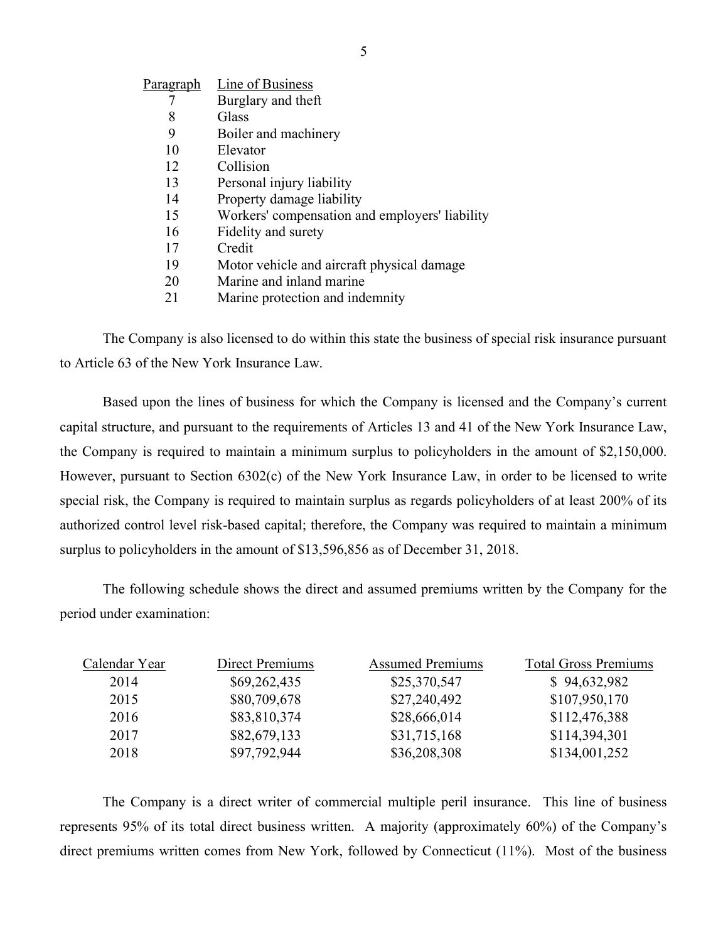| Paragraph | Line of Business                               |
|-----------|------------------------------------------------|
|           | Burglary and theft                             |
| 8         | Glass                                          |
| 9         | Boiler and machinery                           |
| 10        | Elevator                                       |
| 12        | Collision                                      |
| 13        | Personal injury liability                      |
| 14        | Property damage liability                      |
| 15        | Workers' compensation and employers' liability |
| 16        | Fidelity and surety                            |
| 17        | Credit                                         |
| 19        | Motor vehicle and aircraft physical damage     |
| 20        | Marine and inland marine                       |
| 21        | Marine protection and indemnity                |

The Company is also licensed to do within this state the business of special risk insurance pursuant to Article 63 of the New York Insurance Law.

 Based upon the lines of business for which the Company is licensed and the Company's current capital structure, and pursuant to the requirements of Articles 13 and 41 of the New York Insurance Law, the Company is required to maintain a minimum surplus to policyholders in the amount of \$2,150,000. However, pursuant to Section 6302(c) of the New York Insurance Law, in order to be licensed to write special risk, the Company is required to maintain surplus as regards policyholders of at least 200% of its authorized control level risk-based capital; therefore, the Company was required to maintain a minimum surplus to policyholders in the amount of \$13,596,856 as of December 31, 2018.

 The following schedule shows the direct and assumed premiums written by the Company for the period under examination:

| Calendar Year | Direct Premiums | <b>Assumed Premiums</b> | <b>Total Gross Premiums</b> |
|---------------|-----------------|-------------------------|-----------------------------|
| 2014          | \$69,262,435    | \$25,370,547            | \$94,632,982                |
| 2015          | \$80,709,678    | \$27,240,492            | \$107,950,170               |
| 2016          | \$83,810,374    | \$28,666,014            | \$112,476,388               |
| 2017          | \$82,679,133    | \$31,715,168            | \$114,394,301               |
| 2018          | \$97,792,944    | \$36,208,308            | \$134,001,252               |

 The Company is a direct writer of commercial multiple peril insurance. This line of business represents 95% of its total direct business written. A majority (approximately 60%) of the Company's direct premiums written comes from New York, followed by Connecticut (11%). Most of the business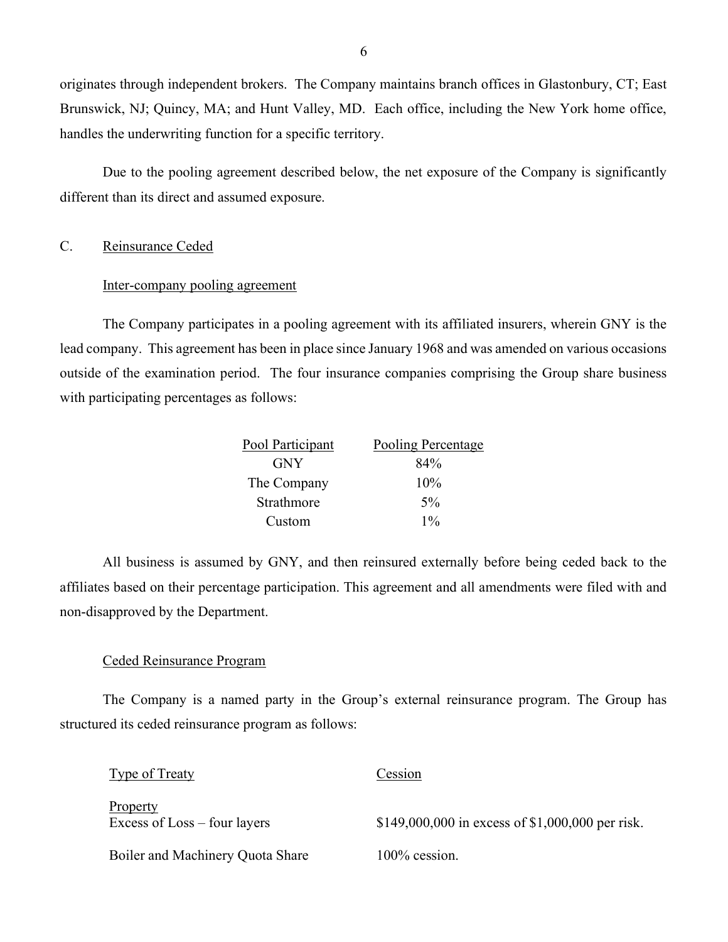originates through independent brokers. The Company maintains branch offices in Glastonbury, CT; East Brunswick, NJ; Quincy, MA; and Hunt Valley, MD. Each office, including the New York home office, handles the underwriting function for a specific territory.

 Due to the pooling agreement described below, the net exposure of the Company is significantly different than its direct and assumed exposure.

### C. Reinsurance Ceded

### Inter-company pooling agreement

The Company participates in a pooling agreement with its affiliated insurers, wherein GNY is the lead company. This agreement has been in place since January 1968 and was amended on various occasions outside of the examination period. The four insurance companies comprising the Group share business with participating percentages as follows:

| Pool Participant | <b>Pooling Percentage</b> |
|------------------|---------------------------|
| <b>GNY</b>       | 84%                       |
| The Company      | 10%                       |
| Strathmore       | $5\%$                     |
| Custom           | $1\%$                     |

All business is assumed by GNY, and then reinsured externally before being ceded back to the affiliates based on their percentage participation. This agreement and all amendments were filed with and non-disapproved by the Department.

### Ceded Reinsurance Program

The Company is a named party in the Group's external reinsurance program. The Group has structured its ceded reinsurance program as follows:

| <b>Type of Treaty</b>                    | Cession                                          |
|------------------------------------------|--------------------------------------------------|
| Property<br>Excess of Loss – four layers | \$149,000,000 in excess of \$1,000,000 per risk. |
| Boiler and Machinery Quota Share         | $100\%$ cession.                                 |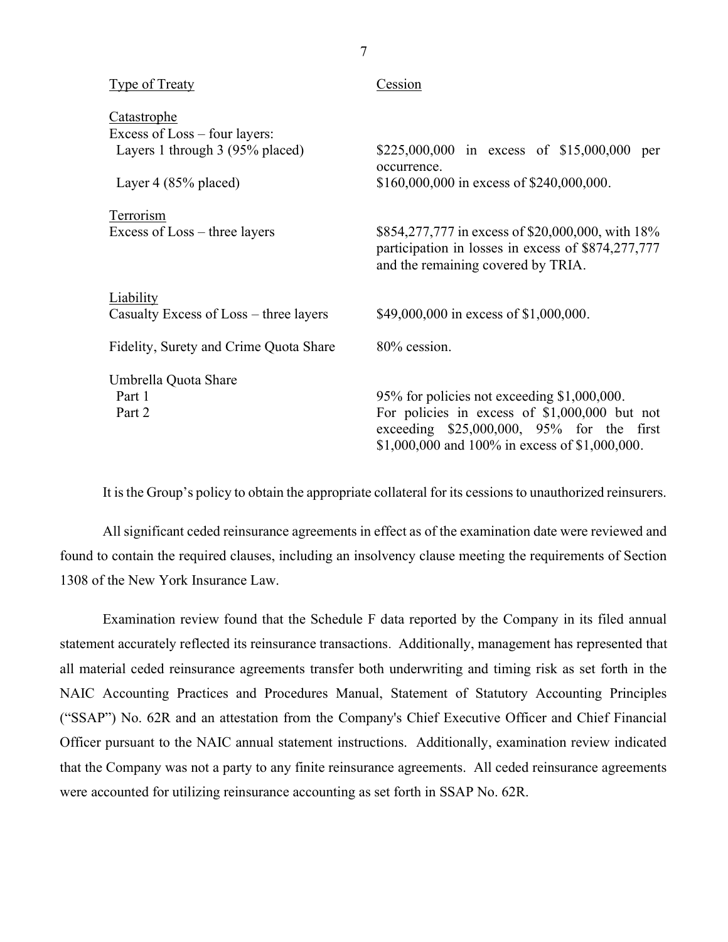| <b>Type of Treaty</b>                  | Cession                                                                                                                                            |
|----------------------------------------|----------------------------------------------------------------------------------------------------------------------------------------------------|
| <b>Catastrophe</b>                     |                                                                                                                                                    |
| Excess of Loss – four layers:          |                                                                                                                                                    |
| Layers 1 through 3 (95% placed)        | \$225,000,000 in excess of \$15,000,000<br>per<br>occurrence.                                                                                      |
| Layer 4 $(85\%$ placed)                | \$160,000,000 in excess of \$240,000,000.                                                                                                          |
| Terrorism                              |                                                                                                                                                    |
| Excess of $Loss$ – three layers        | \$854,277,777 in excess of \$20,000,000, with 18%<br>participation in losses in excess of \$874,277,777<br>and the remaining covered by TRIA.      |
| Liability                              |                                                                                                                                                    |
| Casualty Excess of Loss – three layers | \$49,000,000 in excess of \$1,000,000.                                                                                                             |
| Fidelity, Surety and Crime Quota Share | 80% cession.                                                                                                                                       |
| Umbrella Quota Share                   |                                                                                                                                                    |
| Part 1                                 | 95% for policies not exceeding \$1,000,000.                                                                                                        |
| Part 2                                 | For policies in excess of $$1,000,000$ but not<br>exceeding $$25,000,000$ , $95\%$ for the first<br>\$1,000,000 and 100% in excess of \$1,000,000. |

It is the Group's policy to obtain the appropriate collateral for its cessions to unauthorized reinsurers.

All significant ceded reinsurance agreements in effect as of the examination date were reviewed and found to contain the required clauses, including an insolvency clause meeting the requirements of Section 1308 of the New York Insurance Law.

Examination review found that the Schedule F data reported by the Company in its filed annual statement accurately reflected its reinsurance transactions. Additionally, management has represented that all material ceded reinsurance agreements transfer both underwriting and timing risk as set forth in the NAIC Accounting Practices and Procedures Manual, Statement of Statutory Accounting Principles ("SSAP") No. 62R and an attestation from the Company's Chief Executive Officer and Chief Financial Officer pursuant to the NAIC annual statement instructions. Additionally, examination review indicated that the Company was not a party to any finite reinsurance agreements. All ceded reinsurance agreements were accounted for utilizing reinsurance accounting as set forth in SSAP No. 62R.

7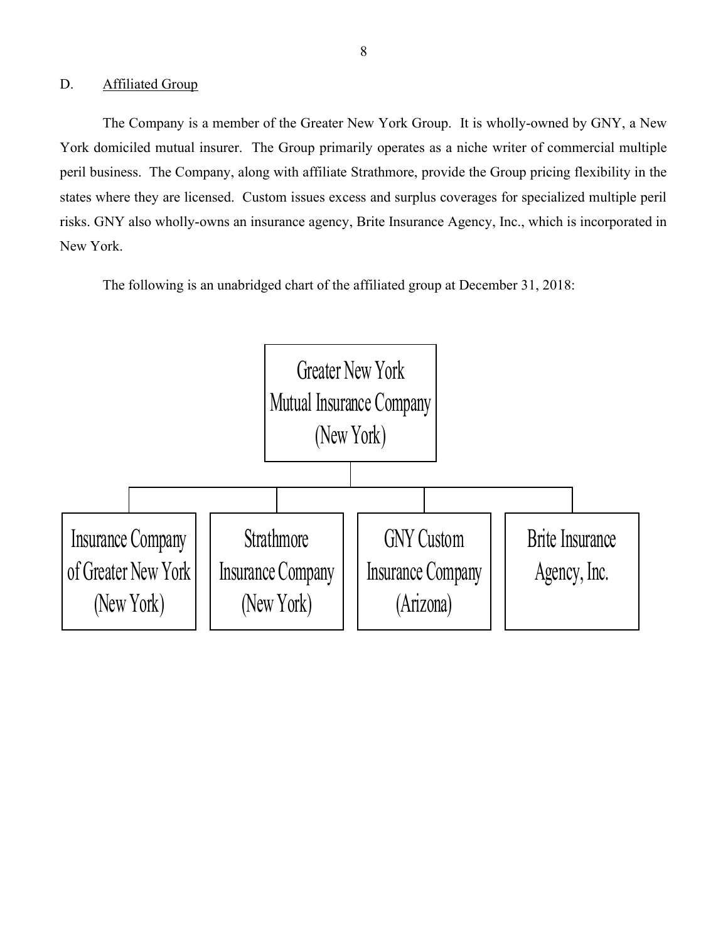### D. Affiliated Group

 The Company is a member of the Greater New York Group. It is wholly-owned by GNY, a New York domiciled mutual insurer. The Group primarily operates as a niche writer of commercial multiple peril business. The Company, along with affiliate Strathmore, provide the Group pricing flexibility in the states where they are licensed. Custom issues excess and surplus coverages for specialized multiple peril risks. GNY also wholly-owns an insurance agency, Brite Insurance Agency, Inc., which is incorporated in New York.

The following is an unabridged chart of the affiliated group at December 31, 2018:

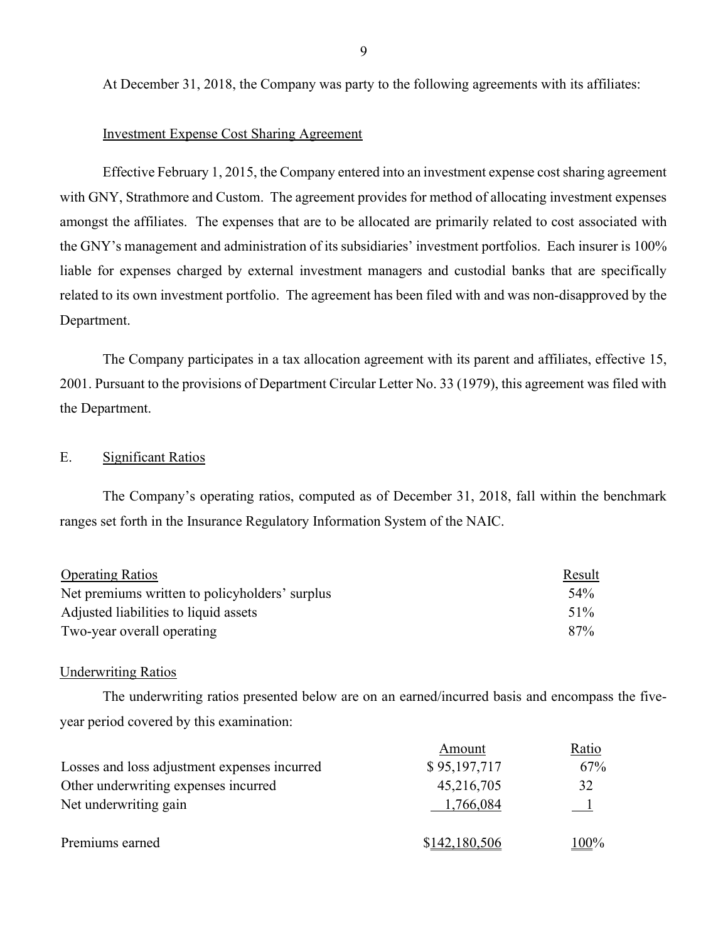At December 31, 2018, the Company was party to the following agreements with its affiliates:

### Investment Expense Cost Sharing Agreement

Effective February 1, 2015, the Company entered into an investment expense cost sharing agreement with GNY, Strathmore and Custom. The agreement provides for method of allocating investment expenses amongst the affiliates. The expenses that are to be allocated are primarily related to cost associated with the GNY's management and administration of its subsidiaries' investment portfolios. Each insurer is 100% liable for expenses charged by external investment managers and custodial banks that are specifically related to its own investment portfolio. The agreement has been filed with and was non-disapproved by the Department.

The Company participates in a tax allocation agreement with its parent and affiliates, effective 15, 2001. Pursuant to the provisions of Department Circular Letter No. 33 (1979), this agreement was filed with the Department.

### E. Significant Ratios

 The Company's operating ratios, computed as of December 31, 2018, fall within the benchmark ranges set forth in the Insurance Regulatory Information System of the NAIC.

| <b>Operating Ratios</b>                        | Result |
|------------------------------------------------|--------|
| Net premiums written to policyholders' surplus | 54%    |
| Adjusted liabilities to liquid assets          | $51\%$ |
| Two-year overall operating                     | 87%    |

#### Underwriting Ratios

 The underwriting ratios presented below are on an earned/incurred basis and encompass the fiveyear period covered by this examination:

|                                              | Amount        | Ratio          |
|----------------------------------------------|---------------|----------------|
| Losses and loss adjustment expenses incurred | \$95,197,717  | 67%            |
| Other underwriting expenses incurred         | 45,216,705    | 32             |
| Net underwriting gain                        | 1,766,084     | $\blacksquare$ |
| Premiums earned                              | \$142,180,506 | <u>100</u> %   |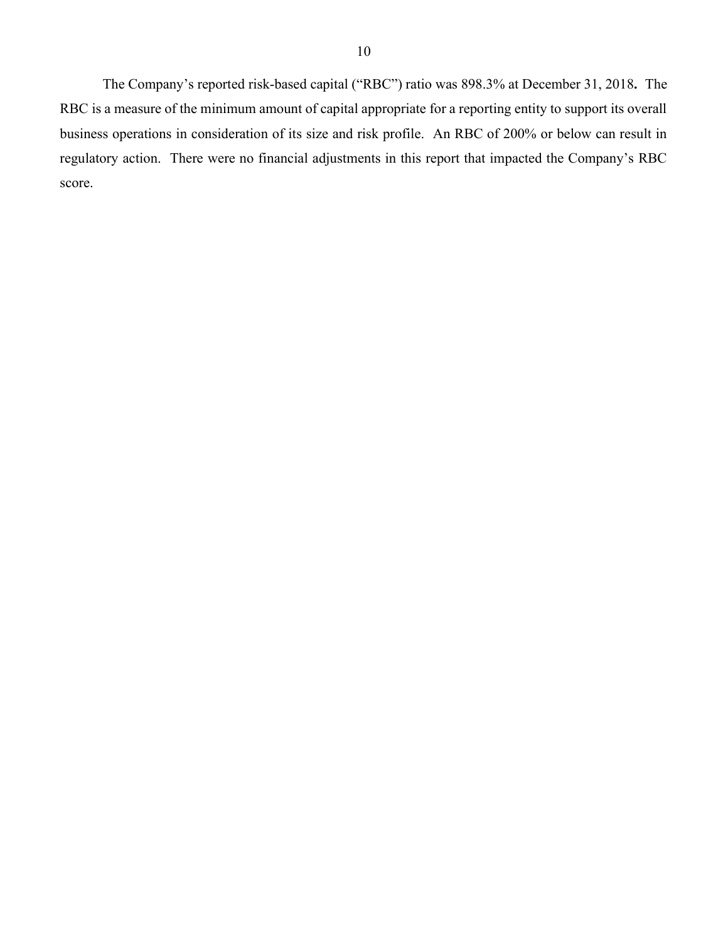The Company's reported risk-based capital ("RBC") ratio was 898.3% at December 31, 2018. The RBC is a measure of the minimum amount of capital appropriate for a reporting entity to support its overall business operations in consideration of its size and risk profile. An RBC of 200% or below can result in regulatory action. There were no financial adjustments in this report that impacted the Company's RBC score.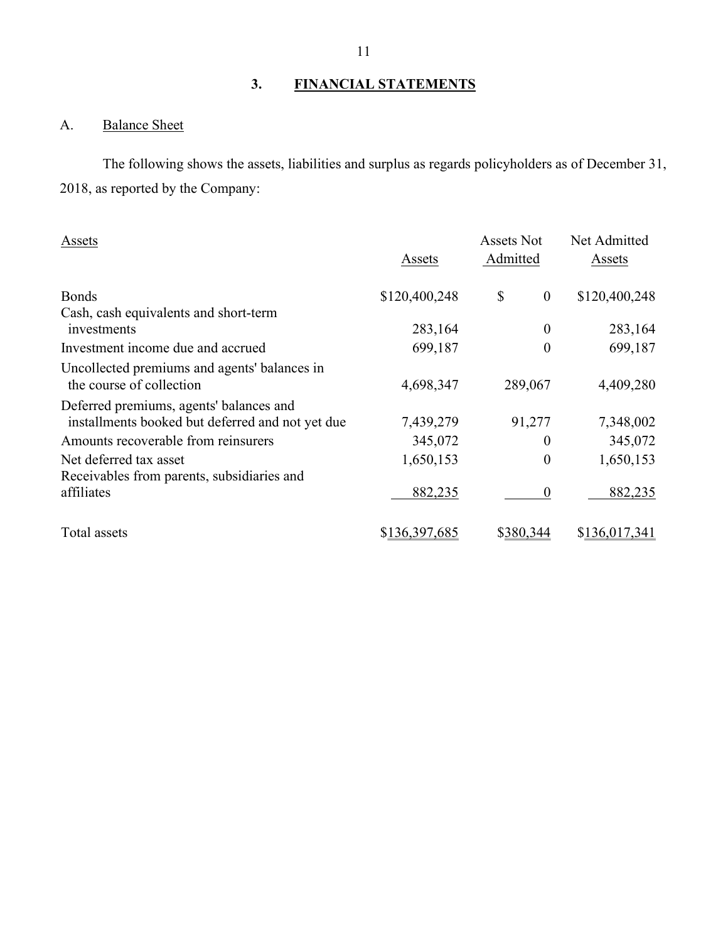## 3. FINANCIAL STATEMENTS

## A. Balance Sheet

 The following shows the assets, liabilities and surplus as regards policyholders as of December 31, 2018, as reported by the Company:

| Assets                                                                                      | Assets        | Assets Not<br>Admitted | Net Admitted<br>Assets          |
|---------------------------------------------------------------------------------------------|---------------|------------------------|---------------------------------|
| <b>Bonds</b>                                                                                | \$120,400,248 | \$                     | \$120,400,248<br>$\overline{0}$ |
| Cash, cash equivalents and short-term                                                       |               |                        |                                 |
| investments                                                                                 | 283,164       |                        | 283,164<br>$\boldsymbol{0}$     |
| Investment income due and accrued                                                           | 699,187       | $\theta$               | 699,187                         |
| Uncollected premiums and agents' balances in<br>the course of collection                    | 4,698,347     | 289,067                | 4,409,280                       |
| Deferred premiums, agents' balances and<br>installments booked but deferred and not yet due | 7,439,279     | 91,277                 | 7,348,002                       |
| Amounts recoverable from reinsurers                                                         | 345,072       |                        | 345,072<br>$\theta$             |
| Net deferred tax asset<br>Receivables from parents, subsidiaries and                        | 1,650,153     | $\Omega$               | 1,650,153                       |
| affiliates                                                                                  | 882,235       | $\theta$               | 882,235                         |
| Total assets                                                                                | \$136,397,685 | \$380,344              | \$136,017,341                   |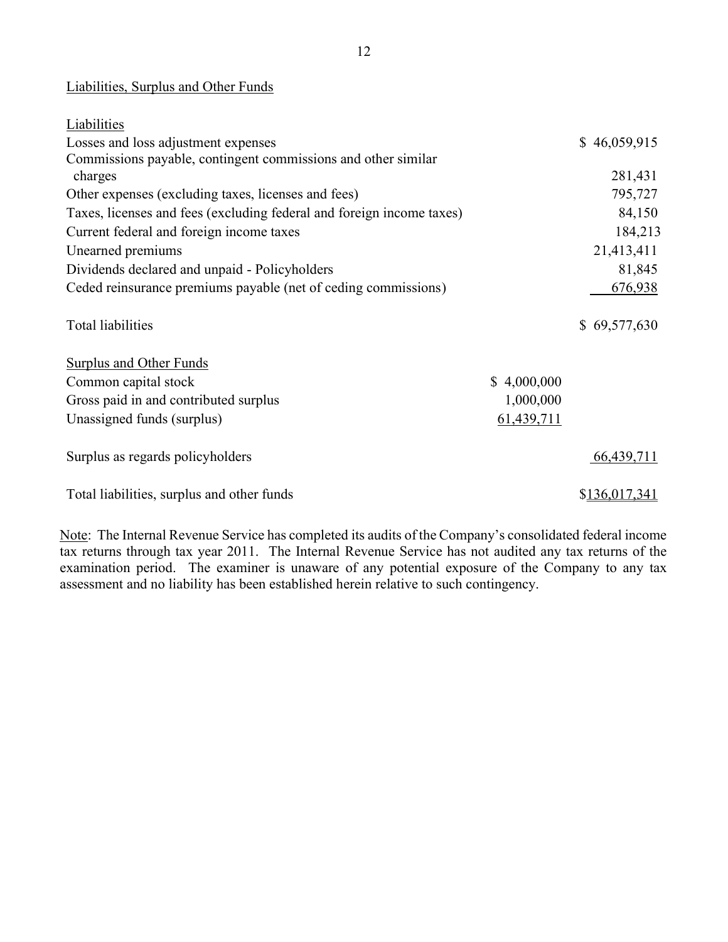### Liabilities, Surplus and Other Funds

| Liabilities                                                           |             |               |
|-----------------------------------------------------------------------|-------------|---------------|
| Losses and loss adjustment expenses                                   |             | \$46,059,915  |
| Commissions payable, contingent commissions and other similar         |             |               |
| charges                                                               |             | 281,431       |
| Other expenses (excluding taxes, licenses and fees)                   |             | 795,727       |
| Taxes, licenses and fees (excluding federal and foreign income taxes) |             | 84,150        |
| Current federal and foreign income taxes                              |             | 184,213       |
| Unearned premiums                                                     |             | 21,413,411    |
| Dividends declared and unpaid - Policyholders                         |             | 81,845        |
| Ceded reinsurance premiums payable (net of ceding commissions)        |             | 676,938       |
| Total liabilities                                                     |             | \$69,577,630  |
| <b>Surplus and Other Funds</b>                                        |             |               |
| Common capital stock                                                  | \$4,000,000 |               |
| Gross paid in and contributed surplus                                 | 1,000,000   |               |
| Unassigned funds (surplus)                                            | 61,439,711  |               |
| Surplus as regards policyholders                                      |             | 66,439,711    |
| Total liabilities, surplus and other funds                            |             | \$136,017,341 |

Note: The Internal Revenue Service has completed its audits of the Company's consolidated federal income tax returns through tax year 2011. The Internal Revenue Service has not audited any tax returns of the examination period. The examiner is unaware of any potential exposure of the Company to any tax assessment and no liability has been established herein relative to such contingency.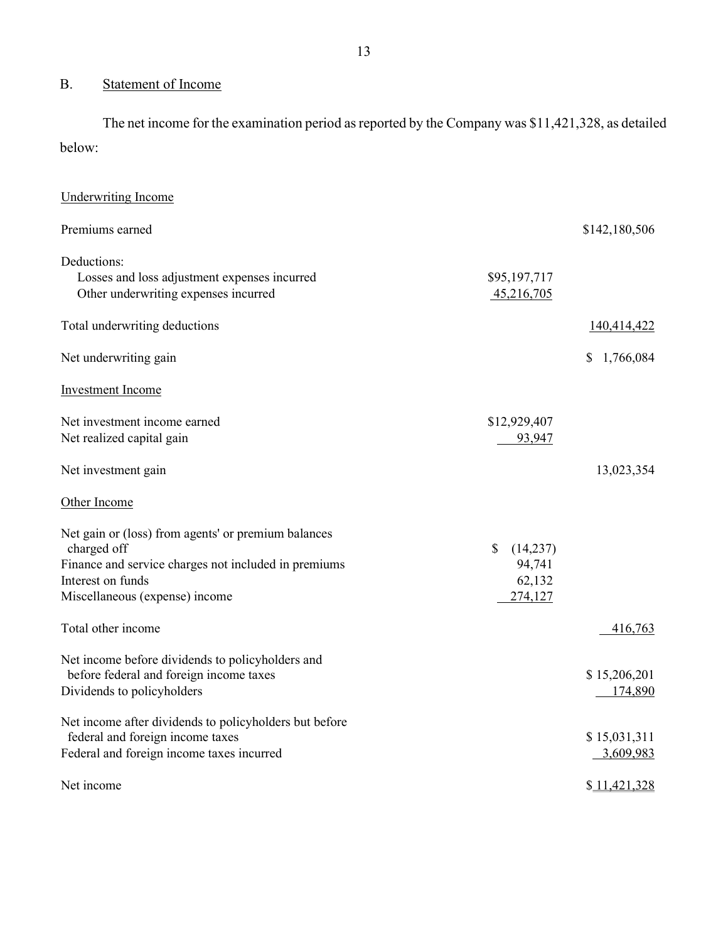## B. Statement of Income

 The net income for the examination period as reported by the Company was \$11,421,328, as detailed below:

| <b>Underwriting Income</b>                                                                                                                                                        |                                                          |                           |
|-----------------------------------------------------------------------------------------------------------------------------------------------------------------------------------|----------------------------------------------------------|---------------------------|
| Premiums earned                                                                                                                                                                   |                                                          | \$142,180,506             |
| Deductions:<br>Losses and loss adjustment expenses incurred<br>Other underwriting expenses incurred                                                                               | \$95,197,717<br>45,216,705                               |                           |
| Total underwriting deductions                                                                                                                                                     |                                                          | 140,414,422               |
| Net underwriting gain                                                                                                                                                             |                                                          | 1,766,084<br>\$           |
| Investment Income                                                                                                                                                                 |                                                          |                           |
| Net investment income earned<br>Net realized capital gain                                                                                                                         | \$12,929,407<br>93,947                                   |                           |
| Net investment gain                                                                                                                                                               |                                                          | 13,023,354                |
| Other Income                                                                                                                                                                      |                                                          |                           |
| Net gain or (loss) from agents' or premium balances<br>charged off<br>Finance and service charges not included in premiums<br>Interest on funds<br>Miscellaneous (expense) income | $\mathcal{S}$<br>(14,237)<br>94,741<br>62,132<br>274,127 |                           |
| Total other income                                                                                                                                                                |                                                          | 416,763                   |
| Net income before dividends to policyholders and<br>before federal and foreign income taxes<br>Dividends to policyholders                                                         |                                                          | \$15,206,201<br>174,890   |
| Net income after dividends to policyholders but before<br>federal and foreign income taxes<br>Federal and foreign income taxes incurred                                           |                                                          | \$15,031,311<br>3,609,983 |
| Net income                                                                                                                                                                        |                                                          | \$11,421,328              |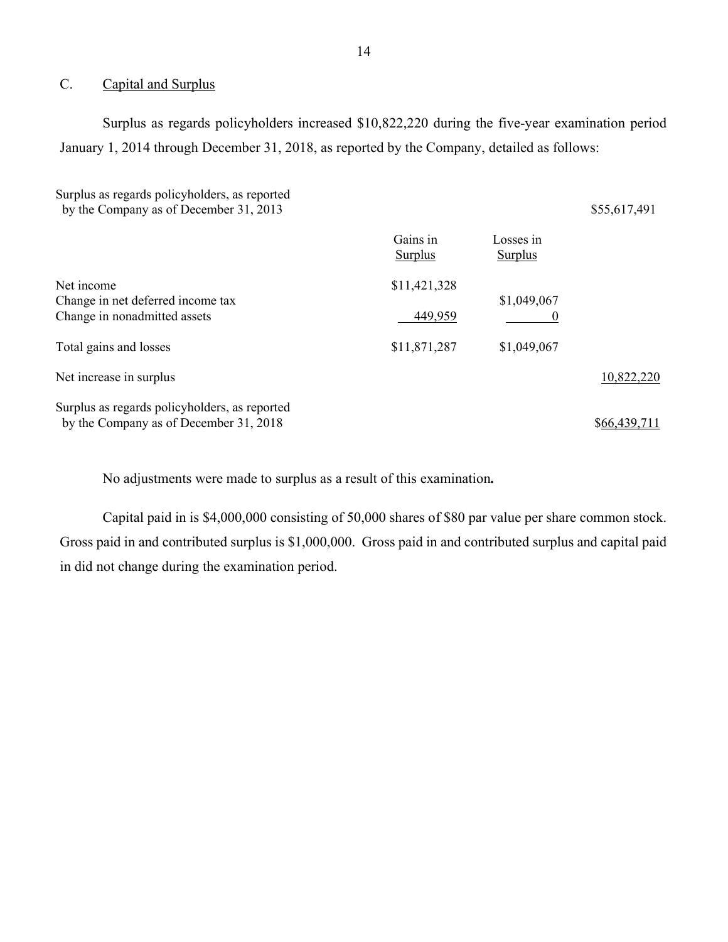### C. Capital and Surplus

 Surplus as regards policyholders increased \$10,822,220 during the five-year examination period January 1, 2014 through December 31, 2018, as reported by the Company, detailed as follows:

Surplus as regards policyholders, as reported by the Company as of December 31, 2013 \$55,617,491 Gains in Losses in Surplus Surplus Net income \$11,421,328 Change in net deferred income tax  $$1,049,067$ Change in nonadmitted assets 6 and 449,959 0 Total gains and losses \$11,871,287 \$1,049,067 Net increase in surplus 10,822,220 Surplus as regards policyholders, as reported by the Company as of December  $31, 2018$   $$66,439,711$ 

No adjustments were made to surplus as a result of this examination.

Capital paid in is \$4,000,000 consisting of 50,000 shares of \$80 par value per share common stock. Gross paid in and contributed surplus is \$1,000,000. Gross paid in and contributed surplus and capital paid in did not change during the examination period.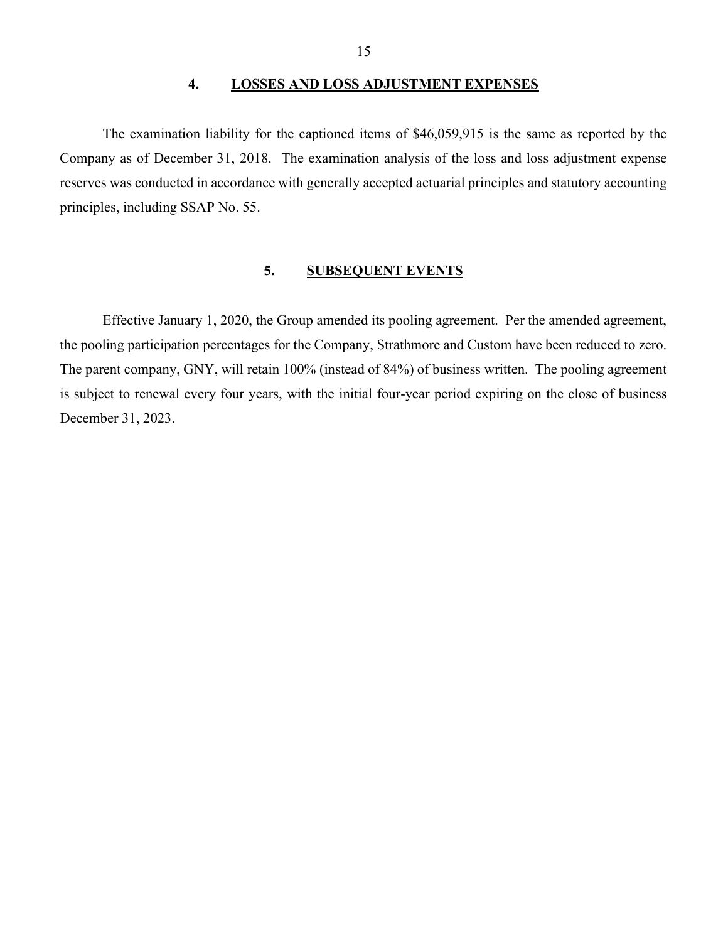### 4. LOSSES AND LOSS ADJUSTMENT EXPENSES

 The examination liability for the captioned items of \$46,059,915 is the same as reported by the Company as of December 31, 2018. The examination analysis of the loss and loss adjustment expense reserves was conducted in accordance with generally accepted actuarial principles and statutory accounting principles, including SSAP No. 55.

### 5. SUBSEQUENT EVENTS

 Effective January 1, 2020, the Group amended its pooling agreement. Per the amended agreement, the pooling participation percentages for the Company, Strathmore and Custom have been reduced to zero. The parent company, GNY, will retain 100% (instead of 84%) of business written. The pooling agreement is subject to renewal every four years, with the initial four-year period expiring on the close of business December 31, 2023.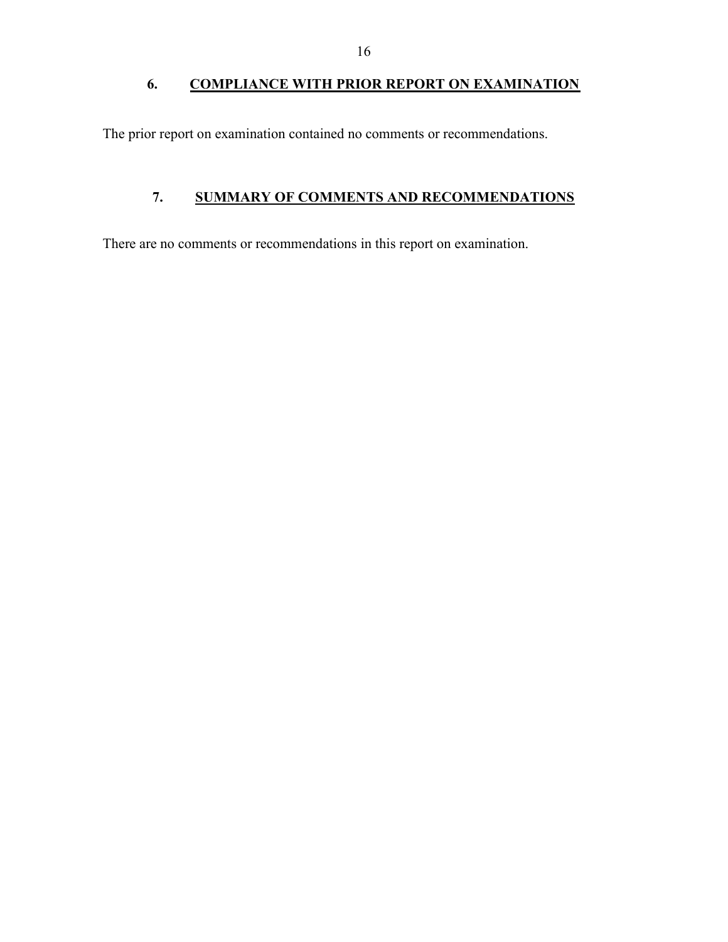## 6. COMPLIANCE WITH PRIOR REPORT ON EXAMINATION

The prior report on examination contained no comments or recommendations.

## 7. SUMMARY OF COMMENTS AND RECOMMENDATIONS

There are no comments or recommendations in this report on examination.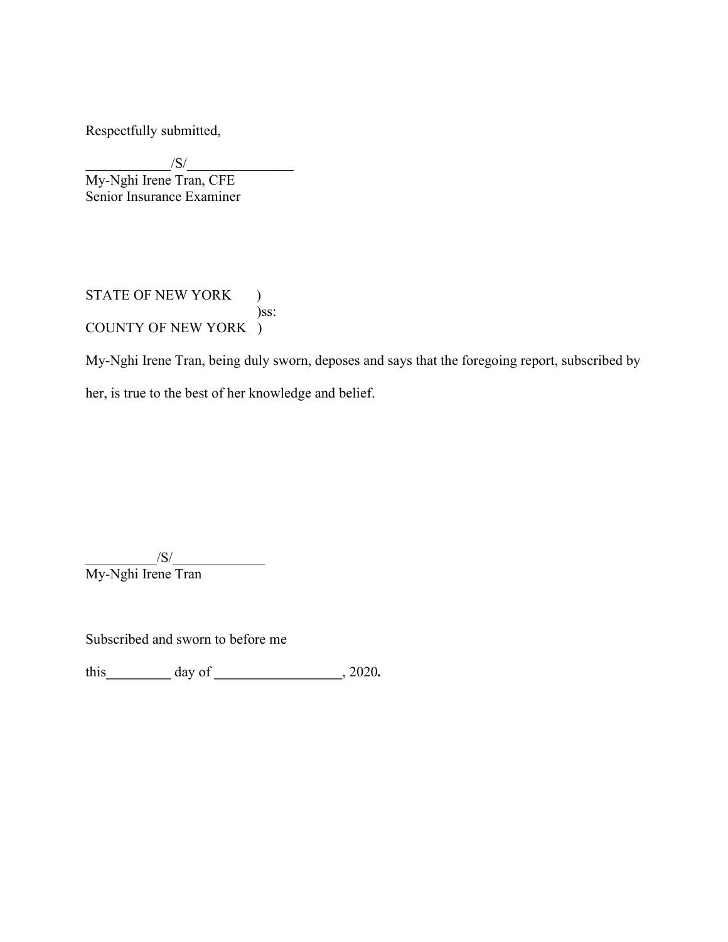Respectfully submitted,

 $/S/$ My-Nghi Irene Tran, CFE Senior Insurance Examiner

STATE OF NEW YORK ) )ss: COUNTY OF NEW YORK )

My-Nghi Irene Tran, being duly sworn, deposes and says that the foregoing report, subscribed by her, is true to the best of her knowledge and belief.

 $/S/$ 

My-Nghi Irene Tran

Subscribed and sworn to before me

this  $\qquad \qquad \text{day of } \qquad \qquad .2020.$